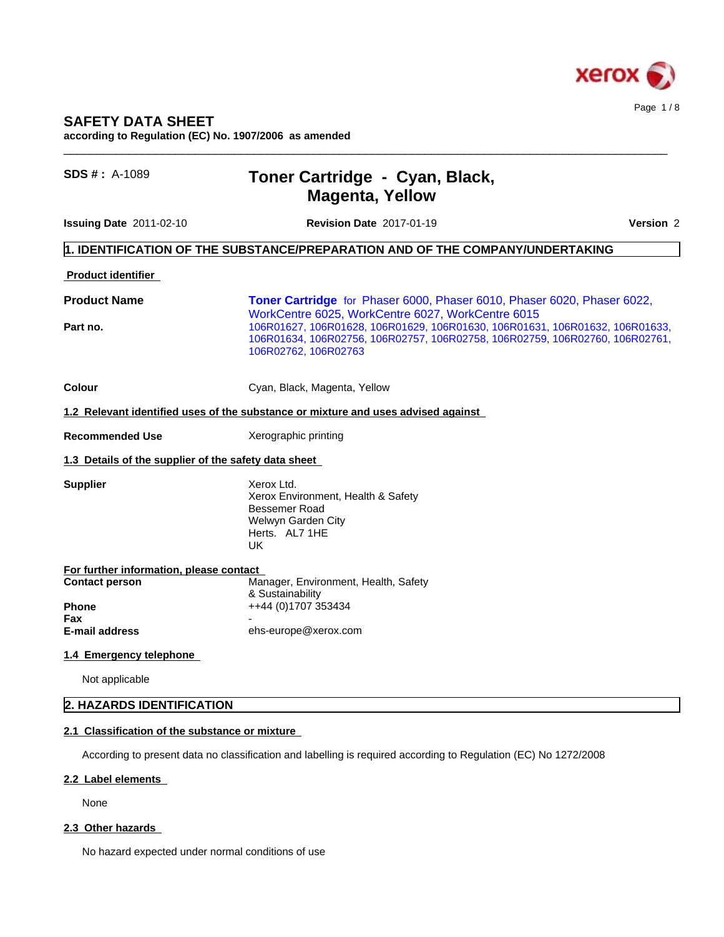

# **SAFETY DATA SHEET**

**according to Regulation (EC) No. 1907/2006 as amended**

# **SDS # :** A-1089 **Toner Cartridge - Cyan, Black, Magenta, Yellow**

**Issuing Date** 2011-02-10 **Revision Date** 2017-01-19 **Version** 2

## **1. IDENTIFICATION OF THE SUBSTANCE/PREPARATION AND OF THE COMPANY/UNDERTAKING**

#### **Product identifier**

**Product Name <b>Toner Cartridge** for Phaser 6000, Phaser 6010, Phaser 6020, Phaser 6022, WorkCentre 6025, WorkCentre 6027, WorkCentre 6015 Part no. 106R01627, 106R01628, 106R01629, 106R01630, 106R01631, 106R01632, 106R01633, 106R01634, 106R02756, 106R02757, 106R02758, 106R02759, 106R02760, 106R02761, 106R02762, 106R02763

 $\_$  ,  $\_$  ,  $\_$  ,  $\_$  ,  $\_$  ,  $\_$  ,  $\_$  ,  $\_$  ,  $\_$  ,  $\_$  ,  $\_$  ,  $\_$  ,  $\_$  ,  $\_$  ,  $\_$  ,  $\_$  ,  $\_$  ,  $\_$  ,  $\_$  ,  $\_$  ,  $\_$  ,  $\_$  ,  $\_$  ,  $\_$  ,  $\_$  ,  $\_$  ,  $\_$  ,  $\_$  ,  $\_$  ,  $\_$  ,  $\_$  ,  $\_$  ,  $\_$  ,  $\_$  ,  $\_$  ,  $\_$  ,  $\_$  ,

**Colour** Cyan, Black, Magenta, Yellow

#### **1.2 Relevant identified uses of the substance or mixture and uses advised against**

**Recommended Use** Xerographic printing

### **1.3 Details of the supplier of the safety data sheet**

**Supplier** Xerox Ltd. Xerox Environment, Health & Safety Bessemer Road Welwyn Garden City Herts. AL7 1HE UK

| For further information, please contact |                                      |  |
|-----------------------------------------|--------------------------------------|--|
| <b>Contact person</b>                   | Manager, Environment, Health, Safety |  |
|                                         | & Sustainability                     |  |
| <b>Phone</b>                            | ++44 (0)1707 353434                  |  |
| Fax                                     | -                                    |  |
| E-mail address                          | ehs-europe@xerox.com                 |  |

## **1.4 Emergency telephone**

Not applicable

## **2. HAZARDS IDENTIFICATION**

## **2.1 Classification of the substance or mixture**

According to present data no classification and labelling is required according to Regulation (EC) No 1272/2008

#### **2.2 Label elements**

None

### **2.3 Other hazards**

No hazard expected under normal conditions of use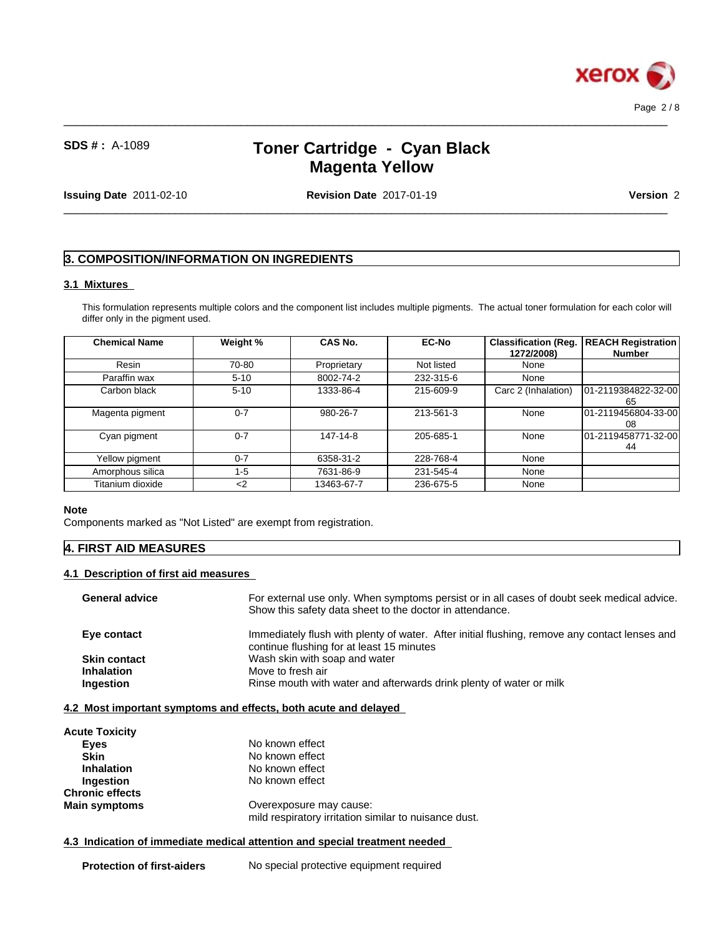

 $\_$  ,  $\_$  ,  $\_$  ,  $\_$  ,  $\_$  ,  $\_$  ,  $\_$  ,  $\_$  ,  $\_$  ,  $\_$  ,  $\_$  ,  $\_$  ,  $\_$  ,  $\_$  ,  $\_$  ,  $\_$  ,  $\_$  ,  $\_$  ,  $\_$  ,  $\_$  ,  $\_$  ,  $\_$  ,  $\_$  ,  $\_$  ,  $\_$  ,  $\_$  ,  $\_$  ,  $\_$  ,  $\_$  ,  $\_$  ,  $\_$  ,  $\_$  ,  $\_$  ,  $\_$  ,  $\_$  ,  $\_$  ,  $\_$  ,

 $\_$  ,  $\_$  ,  $\_$  ,  $\_$  ,  $\_$  ,  $\_$  ,  $\_$  ,  $\_$  ,  $\_$  ,  $\_$  ,  $\_$  ,  $\_$  ,  $\_$  ,  $\_$  ,  $\_$  ,  $\_$  ,  $\_$  ,  $\_$  ,  $\_$  ,  $\_$  ,  $\_$  ,  $\_$  ,  $\_$  ,  $\_$  ,  $\_$  ,  $\_$  ,  $\_$  ,  $\_$  ,  $\_$  ,  $\_$  ,  $\_$  ,  $\_$  ,  $\_$  ,  $\_$  ,  $\_$  ,  $\_$  ,  $\_$  ,

**Issuing Date** 2011-02-10 **Revision Date** 2017-01-19 **Version** 2

## **3. COMPOSITION/INFORMATION ON INGREDIENTS**

### **3.1 Mixtures**

This formulation represents multiple colors and the component list includes multiple pigments. The actual toner formulation for each color will differ only in the pigment used.

| <b>Chemical Name</b> | Weight %    | CAS No.     | <b>EC-No</b> | <b>Classification (Req.</b><br>1272/2008) | REACH Registration  <br><b>Number</b> |
|----------------------|-------------|-------------|--------------|-------------------------------------------|---------------------------------------|
| Resin                | 70-80       | Proprietary | Not listed   | None                                      |                                       |
| Paraffin wax         | $5 - 10$    | 8002-74-2   | 232-315-6    | None                                      |                                       |
| Carbon black         | $5 - 10$    | 1333-86-4   | 215-609-9    | Carc 2 (Inhalation)                       | 101-2119384822-32-001<br>65           |
| Magenta pigment      | $0 - 7$     | 980-26-7    | 213-561-3    | None                                      | l01-2119456804-33-00l<br>08           |
| Cyan pigment         | $0 - 7$     | 147-14-8    | 205-685-1    | None                                      | l01-2119458771-32-00l<br>44           |
| Yellow pigment       | $0 - 7$     | 6358-31-2   | 228-768-4    | None                                      |                                       |
| Amorphous silica     | $1 - 5$     | 7631-86-9   | 231-545-4    | None                                      |                                       |
| Titanium dioxide     | $\langle$ 2 | 13463-67-7  | 236-675-5    | None                                      |                                       |

## **Note**

Components marked as "Not Listed" are exempt from registration.

## **4. FIRST AID MEASURES**

#### **4.1 Description of first aid measures**

| <b>General advice</b> | For external use only. When symptoms persist or in all cases of doubt seek medical advice.<br>Show this safety data sheet to the doctor in attendance. |
|-----------------------|--------------------------------------------------------------------------------------------------------------------------------------------------------|
| Eye contact           | Immediately flush with plenty of water. After initial flushing, remove any contact lenses and<br>continue flushing for at least 15 minutes             |
| <b>Skin contact</b>   | Wash skin with soap and water                                                                                                                          |
| <b>Inhalation</b>     | Move to fresh air                                                                                                                                      |
| Ingestion             | Rinse mouth with water and afterwards drink plenty of water or milk                                                                                    |
|                       |                                                                                                                                                        |

### **4.2 Most important symptoms and effects, both acute and delayed**

| <b>Acute Toxicity</b>  |                                                       |
|------------------------|-------------------------------------------------------|
| Eyes                   | No known effect                                       |
| <b>Skin</b>            | No known effect                                       |
| <b>Inhalation</b>      | No known effect                                       |
| Ingestion              | No known effect                                       |
| <b>Chronic effects</b> |                                                       |
| <b>Main symptoms</b>   | Overexposure may cause:                               |
|                        | mild respiratory irritation similar to nuisance dust. |

## **4.3 Indication of immediate medical attention and special treatment needed**

| <b>Protection of first-aiders</b> | No special protective equipment required |  |
|-----------------------------------|------------------------------------------|--|
|-----------------------------------|------------------------------------------|--|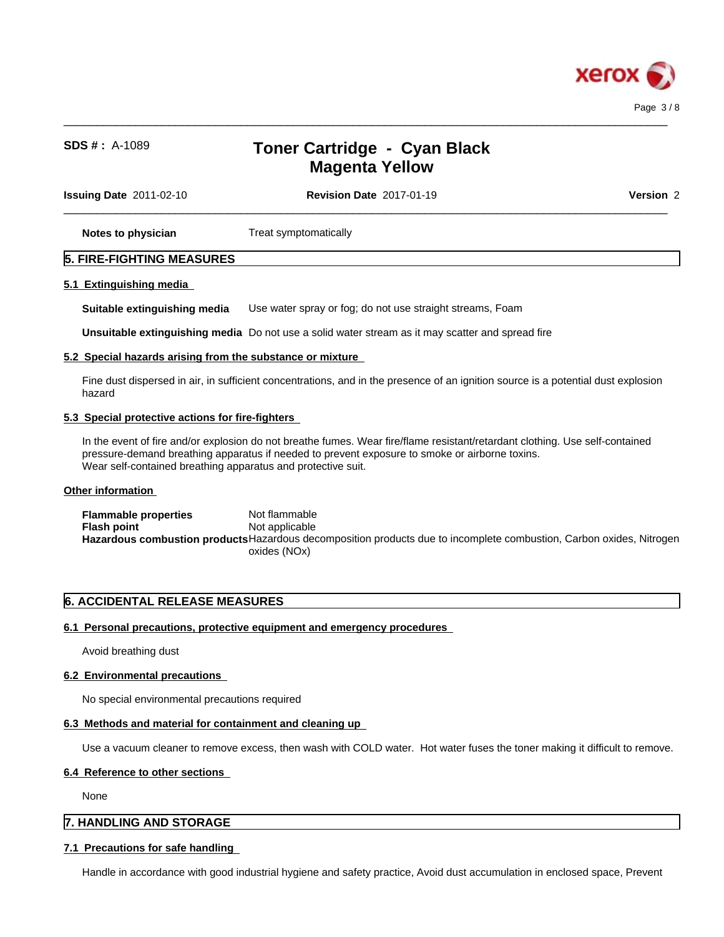

 $\_$  ,  $\_$  ,  $\_$  ,  $\_$  ,  $\_$  ,  $\_$  ,  $\_$  ,  $\_$  ,  $\_$  ,  $\_$  ,  $\_$  ,  $\_$  ,  $\_$  ,  $\_$  ,  $\_$  ,  $\_$  ,  $\_$  ,  $\_$  ,  $\_$  ,  $\_$  ,  $\_$  ,  $\_$  ,  $\_$  ,  $\_$  ,  $\_$  ,  $\_$  ,  $\_$  ,  $\_$  ,  $\_$  ,  $\_$  ,  $\_$  ,  $\_$  ,  $\_$  ,  $\_$  ,  $\_$  ,  $\_$  ,  $\_$  ,

| <b>Issuing Date 2011-02-10</b> | <b>Revision Date 2017-01-19</b> | <b>Version 2</b> |
|--------------------------------|---------------------------------|------------------|
| Notes to physician             | Treat symptomatically           |                  |

### **5. FIRE-FIGHTING MEASURES**

#### **5.1 Extinguishing media**

**Suitable extinguishing media** Use water spray or fog; do not use straight streams, Foam

**Unsuitable extinguishing media** Do not use a solid water stream as it may scatterand spread fire

### **5.2 Special hazards arising from the substance or mixture**

Fine dust dispersed in air, in sufficient concentrations, and in the presence of an ignition source is a potential dust explosion hazard

#### **5.3 Special protective actions for fire-fighters**

In the event of fire and/or explosion do not breathe fumes. Wear fire/flame resistant/retardant clothing. Use self-contained pressure-demand breathing apparatus if needed to prevent exposure to smoke or airborne toxins. Wear self-contained breathing apparatus and protective suit.

#### **Other information**

**Flammable properties** Not flammable **Flash point** Not applicable **Hazardous combustion products**Hazardous decomposition products due to incomplete combustion, Carbon oxides, Nitrogen oxides (NOx)

## **6. ACCIDENTAL RELEASE MEASURES**

#### **6.1 Personal precautions, protective equipment and emergency procedures**

Avoid breathing dust

#### **6.2 Environmental precautions**

No special environmental precautions required

#### **6.3 Methods and material for containment and cleaning up**

Use a vacuum cleaner to remove excess, then wash with COLD water. Hot water fuses the toner making it difficult to remove.

### **6.4 Reference to other sections**

None

## **7. HANDLING AND STORAGE**

#### **7.1 Precautions for safe handling**

Handle in accordance with good industrial hygiene and safety practice, Avoid dust accumulation in enclosed space, Prevent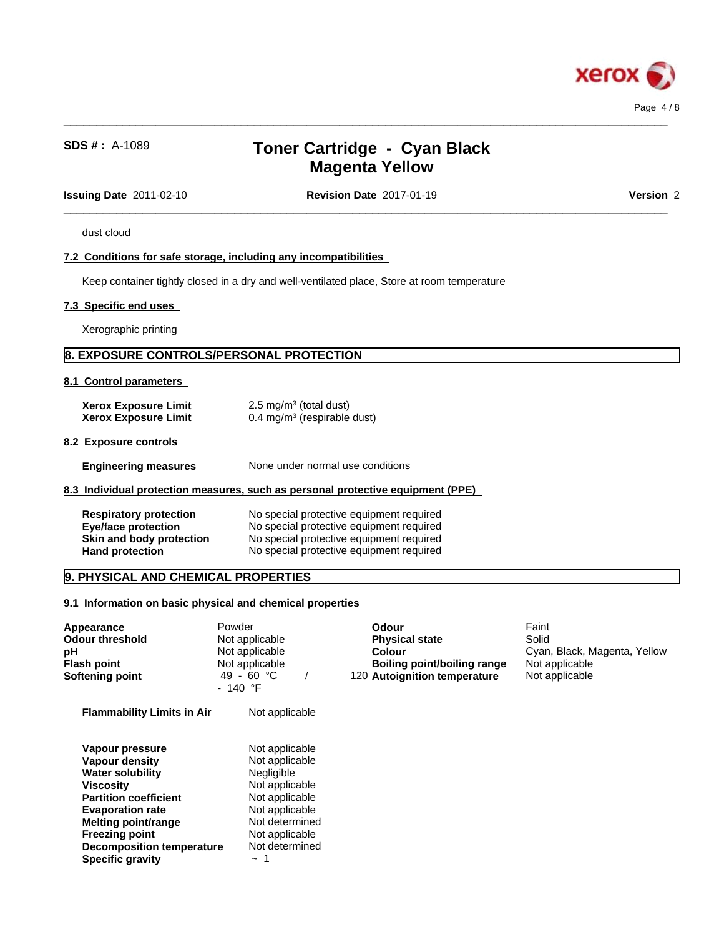

 $\_$  ,  $\_$  ,  $\_$  ,  $\_$  ,  $\_$  ,  $\_$  ,  $\_$  ,  $\_$  ,  $\_$  ,  $\_$  ,  $\_$  ,  $\_$  ,  $\_$  ,  $\_$  ,  $\_$  ,  $\_$  ,  $\_$  ,  $\_$  ,  $\_$  ,  $\_$  ,  $\_$  ,  $\_$  ,  $\_$  ,  $\_$  ,  $\_$  ,  $\_$  ,  $\_$  ,  $\_$  ,  $\_$  ,  $\_$  ,  $\_$  ,  $\_$  ,  $\_$  ,  $\_$  ,  $\_$  ,  $\_$  ,  $\_$  ,

 $\_$  ,  $\_$  ,  $\_$  ,  $\_$  ,  $\_$  ,  $\_$  ,  $\_$  ,  $\_$  ,  $\_$  ,  $\_$  ,  $\_$  ,  $\_$  ,  $\_$  ,  $\_$  ,  $\_$  ,  $\_$  ,  $\_$  ,  $\_$  ,  $\_$  ,  $\_$  ,  $\_$  ,  $\_$  ,  $\_$  ,  $\_$  ,  $\_$  ,  $\_$  ,  $\_$  ,  $\_$  ,  $\_$  ,  $\_$  ,  $\_$  ,  $\_$  ,  $\_$  ,  $\_$  ,  $\_$  ,  $\_$  ,  $\_$  ,

**Issuing Date** 2011-02-10 **Revision Date** 2017-01-19 **Version** 2

dust cloud

## **7.2 Conditions for safe storage, including any incompatibilities**

Keep container tightly closed in a dry and well-ventilated place, Store at room temperature

## **7.3 Specific end uses**

Xerographic printing

## **8. EXPOSURE CONTROLS/PERSONAL PROTECTION**

#### **8.1 Control parameters**

| Xerox Exposure Limit | $2.5 \text{ mg/m}^3$ (total dust)      |
|----------------------|----------------------------------------|
| Xerox Exposure Limit | $0.4 \text{ mg/m}^3$ (respirable dust) |

## **8.2 Exposure controls**

| <b>Engineering measures</b> | None under normal use conditions |  |
|-----------------------------|----------------------------------|--|
|-----------------------------|----------------------------------|--|

#### **8.3 Individual protection measures, such as personal protective equipment (PPE)**

| <b>Respiratory protection</b> | No special protective equipment required |
|-------------------------------|------------------------------------------|
| <b>Eye/face protection</b>    | No special protective equipment required |
| Skin and body protection      | No special protective equipment required |
| <b>Hand protection</b>        | No special protective equipment required |

## **9. PHYSICAL AND CHEMICAL PROPERTIES**

#### **9.1 Information on basic physical and chemical properties**

| Appearance<br><b>Odour threshold</b><br>pН<br>Flash point<br><b>Softening point</b> | Powder<br>Not applicable<br>Not applicable<br>Not applicable<br>49 - 60 °C<br>$-140$ °F | <b>Odour</b><br><b>Physical state</b><br><b>Colour</b><br>Boiling point/boiling range<br>120 Autoignition temperature | Faint<br>Solid<br>Cyan, Black, Magenta, Yellow<br>Not applicable<br>Not applicable |  |
|-------------------------------------------------------------------------------------|-----------------------------------------------------------------------------------------|-----------------------------------------------------------------------------------------------------------------------|------------------------------------------------------------------------------------|--|
| <b>Flammability Limits in Air</b>                                                   | Not applicable                                                                          |                                                                                                                       |                                                                                    |  |
| Vapour pressure                                                                     | Not applicable                                                                          |                                                                                                                       |                                                                                    |  |
| Vapour density                                                                      | Not applicable                                                                          |                                                                                                                       |                                                                                    |  |
| <b>Water solubility</b>                                                             | Negligible                                                                              |                                                                                                                       |                                                                                    |  |
| Viscosity                                                                           | Not applicable                                                                          |                                                                                                                       |                                                                                    |  |
| <b>Partition coefficient</b>                                                        | Not applicable                                                                          |                                                                                                                       |                                                                                    |  |
| <b>Evaporation rate</b>                                                             | Not applicable                                                                          |                                                                                                                       |                                                                                    |  |
| <b>Melting point/range</b>                                                          | Not determined                                                                          |                                                                                                                       |                                                                                    |  |
| <b>Freezing point</b>                                                               | Not applicable                                                                          |                                                                                                                       |                                                                                    |  |
| <b>Decomposition temperature</b>                                                    | Not determined                                                                          |                                                                                                                       |                                                                                    |  |
| <b>Specific gravity</b>                                                             | $\sim$ 1                                                                                |                                                                                                                       |                                                                                    |  |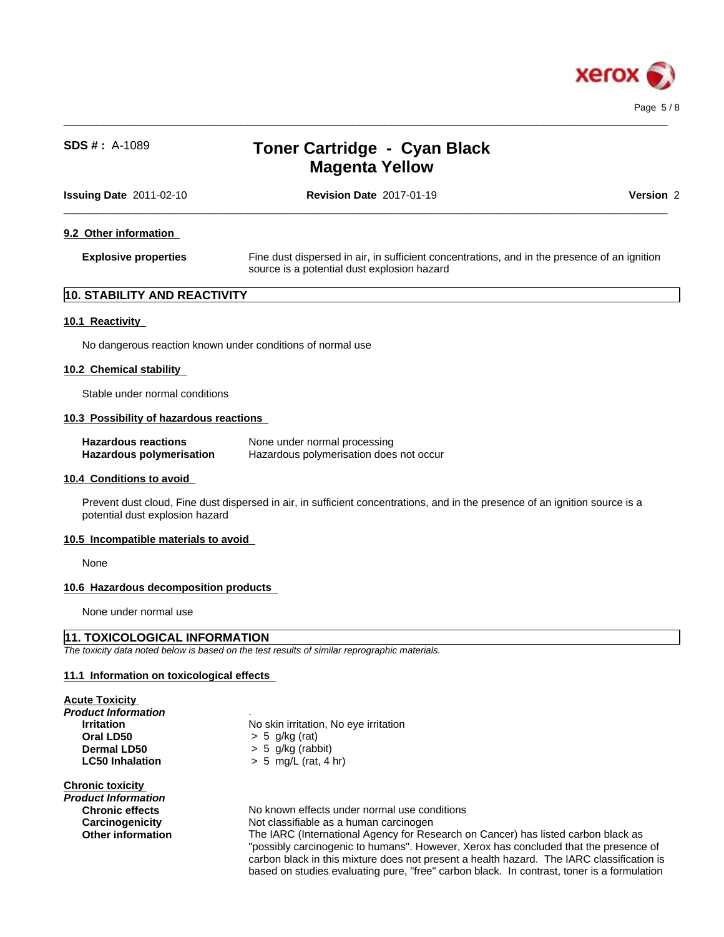

 $\_$  ,  $\_$  ,  $\_$  ,  $\_$  ,  $\_$  ,  $\_$  ,  $\_$  ,  $\_$  ,  $\_$  ,  $\_$  ,  $\_$  ,  $\_$  ,  $\_$  ,  $\_$  ,  $\_$  ,  $\_$  ,  $\_$  ,  $\_$  ,  $\_$  ,  $\_$  ,  $\_$  ,  $\_$  ,  $\_$  ,  $\_$  ,  $\_$  ,  $\_$  ,  $\_$  ,  $\_$  ,  $\_$  ,  $\_$  ,  $\_$  ,  $\_$  ,  $\_$  ,  $\_$  ,  $\_$  ,  $\_$  ,  $\_$  ,

| <b>Issuing Date</b> 2011-02-10 | <b>Revision Date 2017-01-19</b>                                                                                                             | Version 2 |
|--------------------------------|---------------------------------------------------------------------------------------------------------------------------------------------|-----------|
| 9.2 Other information          |                                                                                                                                             |           |
| <b>Explosive properties</b>    | Fine dust dispersed in air, in sufficient concentrations, and in the presence of an ignition<br>source is a potential dust explosion hazard |           |
| 10. STABILITY AND REACTIVITY   |                                                                                                                                             |           |

### **10.1 Reactivity**

No dangerous reaction known under conditions of normal use

#### **10.2 Chemical stability**

Stable under normal conditions

#### **10.3 Possibility of hazardous reactions**

| <b>Hazardous reactions</b>      | None under normal processing            |
|---------------------------------|-----------------------------------------|
| <b>Hazardous polymerisation</b> | Hazardous polymerisation does not occur |

#### **10.4 Conditions to avoid**

Prevent dust cloud, Fine dust dispersed in air, in sufficient concentrations, and in the presence of an ignition source is a potential dust explosion hazard

#### **10.5 Incompatible materials to avoid**

None

#### **10.6 Hazardous decomposition products**

None under normal use

## **11. TOXICOLOGICAL INFORMATION**

*The toxicity data noted below is based on the test results of similar reprographic materials.*

#### **11.1 Information on toxicologicaleffects**

**Acute Toxicity** *Product Information* . **Oral LD50** > 5 g/kg (rat) **Dermal LD50** > 5 g/kg (rabbit)

**Chronic toxicity**

*Product Information*

**Irritation** No skin irritation, No eye irritation **LC50 Inhalation** > 5 mg/L (rat, 4 hr)

**Chronic effects** No known effects under normal use conditions **Carcinogenicity 1988** Not classifiable as a human carcinogen<br> **Other information** The IARC (International Agency for Res The IARC (International Agency for Research on Cancer) has listed carbon black as "possibly carcinogenic to humans". However, Xerox has concluded that the presence of carbon black in this mixture does not present a health hazard. The IARC classification is based on studies evaluating pure, "free" carbon black. In contrast, toner is a formulation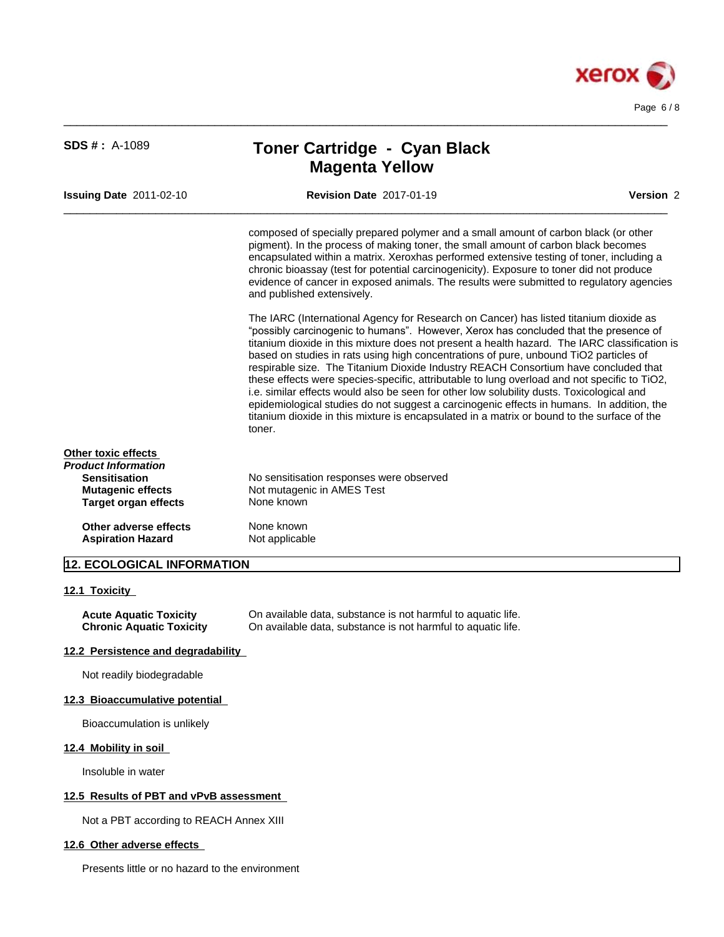

| <b>SDS #</b> : $A-1089$                                                                               | <b>Toner Cartridge - Cyan Black</b><br><b>Magenta Yellow</b>                                                                                                                                                                                                                                                                                                                                                                                                                                                                                                                                                                                                                                                                                                                                                                                                      |           |
|-------------------------------------------------------------------------------------------------------|-------------------------------------------------------------------------------------------------------------------------------------------------------------------------------------------------------------------------------------------------------------------------------------------------------------------------------------------------------------------------------------------------------------------------------------------------------------------------------------------------------------------------------------------------------------------------------------------------------------------------------------------------------------------------------------------------------------------------------------------------------------------------------------------------------------------------------------------------------------------|-----------|
| <b>Issuing Date 2011-02-10</b>                                                                        | <b>Revision Date 2017-01-19</b>                                                                                                                                                                                                                                                                                                                                                                                                                                                                                                                                                                                                                                                                                                                                                                                                                                   | Version 2 |
|                                                                                                       | composed of specially prepared polymer and a small amount of carbon black (or other<br>pigment). In the process of making toner, the small amount of carbon black becomes<br>encapsulated within a matrix. Xeroxhas performed extensive testing of toner, including a<br>chronic bioassay (test for potential carcinogenicity). Exposure to toner did not produce<br>evidence of cancer in exposed animals. The results were submitted to regulatory agencies<br>and published extensively.                                                                                                                                                                                                                                                                                                                                                                       |           |
|                                                                                                       | The IARC (International Agency for Research on Cancer) has listed titanium dioxide as<br>"possibly carcinogenic to humans". However, Xerox has concluded that the presence of<br>titanium dioxide in this mixture does not present a health hazard. The IARC classification is<br>based on studies in rats using high concentrations of pure, unbound TiO2 particles of<br>respirable size. The Titanium Dioxide Industry REACH Consortium have concluded that<br>these effects were species-specific, attributable to lung overload and not specific to TiO2,<br>i.e. similar effects would also be seen for other low solubility dusts. Toxicological and<br>epidemiological studies do not suggest a carcinogenic effects in humans. In addition, the<br>titanium dioxide in this mixture is encapsulated in a matrix or bound to the surface of the<br>toner. |           |
| Other toxic effects<br><b>Product Information</b><br><b>Sensitisation</b><br><b>Mutagenic effects</b> | No sensitisation responses were observed<br>Not mutagenic in AMES Test                                                                                                                                                                                                                                                                                                                                                                                                                                                                                                                                                                                                                                                                                                                                                                                            |           |
| <b>Target organ effects</b><br>Other adverse effects<br><b>Aspiration Hazard</b>                      | None known<br>None known<br>Not applicable                                                                                                                                                                                                                                                                                                                                                                                                                                                                                                                                                                                                                                                                                                                                                                                                                        |           |
| <b>12. ECOLOGICAL INFORMATION</b>                                                                     |                                                                                                                                                                                                                                                                                                                                                                                                                                                                                                                                                                                                                                                                                                                                                                                                                                                                   |           |
| 12.1 Toxicity                                                                                         |                                                                                                                                                                                                                                                                                                                                                                                                                                                                                                                                                                                                                                                                                                                                                                                                                                                                   |           |
| <b>Acute Aquatic Toxicity</b><br><b>Chronic Aquatic Toxicity</b>                                      | On available data, substance is not harmful to aquatic life.<br>On available data, substance is not harmful to aquatic life.                                                                                                                                                                                                                                                                                                                                                                                                                                                                                                                                                                                                                                                                                                                                      |           |
| 12.2 Persistence and degradability                                                                    |                                                                                                                                                                                                                                                                                                                                                                                                                                                                                                                                                                                                                                                                                                                                                                                                                                                                   |           |
| Not readily biodegradable                                                                             |                                                                                                                                                                                                                                                                                                                                                                                                                                                                                                                                                                                                                                                                                                                                                                                                                                                                   |           |
| 12.3 Bioaccumulative potential                                                                        |                                                                                                                                                                                                                                                                                                                                                                                                                                                                                                                                                                                                                                                                                                                                                                                                                                                                   |           |
| Bioaccumulation is unlikely                                                                           |                                                                                                                                                                                                                                                                                                                                                                                                                                                                                                                                                                                                                                                                                                                                                                                                                                                                   |           |
| 12.4 Mobility in soil                                                                                 |                                                                                                                                                                                                                                                                                                                                                                                                                                                                                                                                                                                                                                                                                                                                                                                                                                                                   |           |

Insoluble in water

## **12.5 Results of PBT and vPvB assessment**

Not a PBT according to REACH Annex XIII

## **12.6 Other adverse effects**

Presents little or no hazard to the environment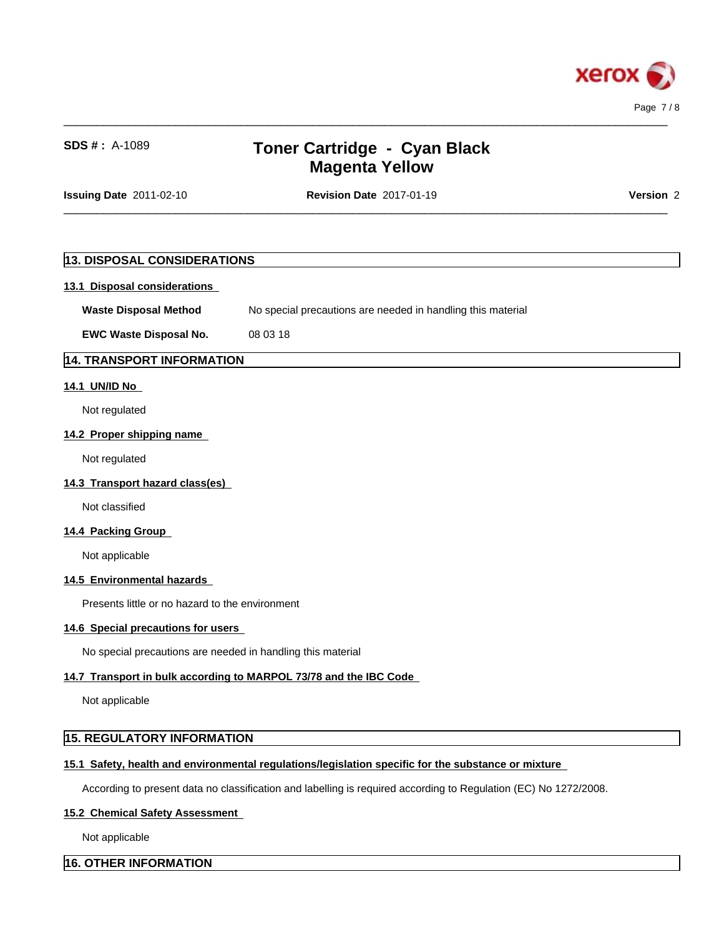

 $\_$  ,  $\_$  ,  $\_$  ,  $\_$  ,  $\_$  ,  $\_$  ,  $\_$  ,  $\_$  ,  $\_$  ,  $\_$  ,  $\_$  ,  $\_$  ,  $\_$  ,  $\_$  ,  $\_$  ,  $\_$  ,  $\_$  ,  $\_$  ,  $\_$  ,  $\_$  ,  $\_$  ,  $\_$  ,  $\_$  ,  $\_$  ,  $\_$  ,  $\_$  ,  $\_$  ,  $\_$  ,  $\_$  ,  $\_$  ,  $\_$  ,  $\_$  ,  $\_$  ,  $\_$  ,  $\_$  ,  $\_$  ,  $\_$  ,

 $\_$  ,  $\_$  ,  $\_$  ,  $\_$  ,  $\_$  ,  $\_$  ,  $\_$  ,  $\_$  ,  $\_$  ,  $\_$  ,  $\_$  ,  $\_$  ,  $\_$  ,  $\_$  ,  $\_$  ,  $\_$  ,  $\_$  ,  $\_$  ,  $\_$  ,  $\_$  ,  $\_$  ,  $\_$  ,  $\_$  ,  $\_$  ,  $\_$  ,  $\_$  ,  $\_$  ,  $\_$  ,  $\_$  ,  $\_$  ,  $\_$  ,  $\_$  ,  $\_$  ,  $\_$  ,  $\_$  ,  $\_$  ,  $\_$  ,

**Issuing Date** 2011-02-10 **Revision Date** 2017-01-19 **Version** 2

## **13. DISPOSAL CONSIDERATIONS**

## **13.1 Disposal considerations**

**Waste Disposal Method** No special precautions are needed in handling this material

**EWC Waste Disposal No.** 08 03 18

# **14. TRANSPORT INFORMATION**

## **14.1 UN/ID No**

Not regulated

## **14.2 Proper shipping name**

Not regulated

## **14.3 Transport hazard class(es)**

Not classified

## **14.4 Packing Group**

Not applicable

## **14.5 Environmental hazards**

Presents little or no hazard to the environment

## **14.6 Special precautions for users**

No special precautions are needed in handling this material

## **14.7 Transport in bulk according to MARPOL 73/78 and the IBC Code**

Not applicable

## **15. REGULATORY INFORMATION**

## **15.1 Safety, health and environmental regulations/legislation specific for the substance or mixture**

According to present data no classification and labelling is required according to Regulation (EC) No 1272/2008.

## **15.2 Chemical Safety Assessment**

Not applicable

## **16. OTHER INFORMATION**